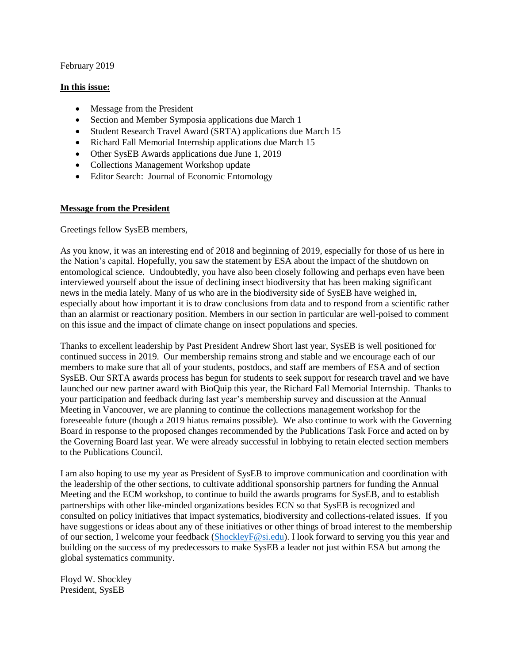February 2019

### **In this issue:**

- Message from the President
- Section and Member Symposia applications due March 1
- Student Research Travel Award (SRTA) applications due March 15
- Richard Fall Memorial Internship applications due March 15
- Other SysEB Awards applications due June 1, 2019
- Collections Management Workshop update
- Editor Search: Journal of Economic Entomology

### **Message from the President**

Greetings fellow SysEB members,

As you know, it was an interesting end of 2018 and beginning of 2019, especially for those of us here in the Nation's capital. Hopefully, you saw the statement by ESA about the impact of the shutdown on entomological science. Undoubtedly, you have also been closely following and perhaps even have been interviewed yourself about the issue of declining insect biodiversity that has been making significant news in the media lately. Many of us who are in the biodiversity side of SysEB have weighed in, especially about how important it is to draw conclusions from data and to respond from a scientific rather than an alarmist or reactionary position. Members in our section in particular are well-poised to comment on this issue and the impact of climate change on insect populations and species.

Thanks to excellent leadership by Past President Andrew Short last year, SysEB is well positioned for continued success in 2019. Our membership remains strong and stable and we encourage each of our members to make sure that all of your students, postdocs, and staff are members of ESA and of section SysEB. Our SRTA awards process has begun for students to seek support for research travel and we have launched our new partner award with BioQuip this year, the Richard Fall Memorial Internship. Thanks to your participation and feedback during last year's membership survey and discussion at the Annual Meeting in Vancouver, we are planning to continue the collections management workshop for the foreseeable future (though a 2019 hiatus remains possible). We also continue to work with the Governing Board in response to the proposed changes recommended by the Publications Task Force and acted on by the Governing Board last year. We were already successful in lobbying to retain elected section members to the Publications Council.

I am also hoping to use my year as President of SysEB to improve communication and coordination with the leadership of the other sections, to cultivate additional sponsorship partners for funding the Annual Meeting and the ECM workshop, to continue to build the awards programs for SysEB, and to establish partnerships with other like-minded organizations besides ECN so that SysEB is recognized and consulted on policy initiatives that impact systematics, biodiversity and collections-related issues. If you have suggestions or ideas about any of these initiatives or other things of broad interest to the membership of our section, I welcome your feedback [\(ShockleyF@si.edu\)](mailto:ShockleyF@si.edu). I look forward to serving you this year and building on the success of my predecessors to make SysEB a leader not just within ESA but among the global systematics community.

Floyd W. Shockley President, SysEB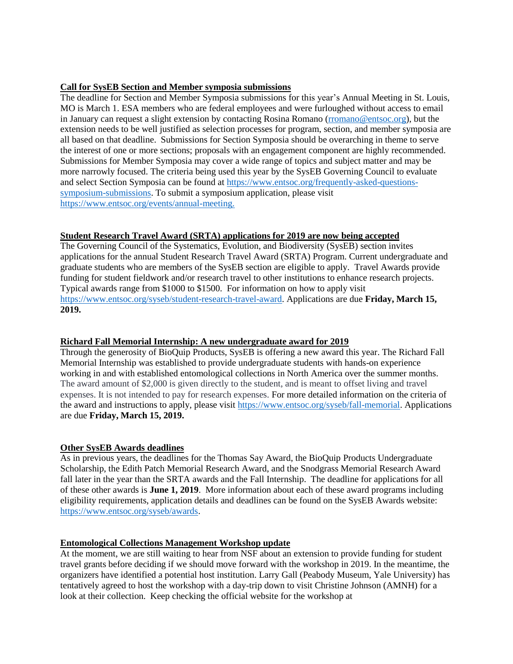### **Call for SysEB Section and Member symposia submissions**

The deadline for Section and Member Symposia submissions for this year's Annual Meeting in St. Louis, MO is March 1. ESA members who are federal employees and were furloughed without access to email in January can request a slight extension by contacting Rosina Romano [\(rromano@entsoc.org\)](mailto:rromano@entsoc.org), but the extension needs to be well justified as selection processes for program, section, and member symposia are all based on that deadline. Submissions for Section Symposia should be overarching in theme to serve the interest of one or more sections; proposals with an engagement component are highly recommended. Submissions for Member Symposia may cover a wide range of topics and subject matter and may be more narrowly focused. The criteria being used this year by the SysEB Governing Council to evaluate and select Section Symposia can be found at [https://www.entsoc.org/frequently-asked-questions](https://www.entsoc.org/frequently-asked-questions-symposium-submissions)[symposium-submissions.](https://www.entsoc.org/frequently-asked-questions-symposium-submissions) To submit a symposium application, please visit [https://www.entsoc.org/events/annual-meeting.](https://www.entsoc.org/events/annual-meeting)

## **Student Research Travel Award (SRTA) applications for 2019 are now being accepted**

The Governing Council of the Systematics, Evolution, and Biodiversity (SysEB) section invites applications for the annual Student Research Travel Award (SRTA) Program. Current undergraduate and graduate students who are members of the SysEB section are eligible to apply. Travel Awards provide funding for student fieldwork and/or research travel to other institutions to enhance research projects. Typical awards range from \$1000 to \$1500. For information on how to apply visit [https://www.entsoc.org/syseb/student-research-travel-award.](https://www.entsoc.org/syseb/student-research-travel-award) Applications are due **Friday, March 15, 2019.** 

# **Richard Fall Memorial Internship: A new undergraduate award for 2019**

Through the generosity of BioQuip Products, SysEB is offering a new award this year. The Richard Fall Memorial Internship was established to provide undergraduate students with hands-on experience working in and with established entomological collections in North America over the summer months. The award amount of \$2,000 is given directly to the student, and is meant to offset living and travel expenses. It is not intended to pay for research expenses. For more detailed information on the criteria of the award and instructions to apply, please visit [https://www.entsoc.org/syseb/fall-memorial.](https://www.entsoc.org/syseb/fall-memorial) Applications are due **Friday, March 15, 2019.** 

### **Other SysEB Awards deadlines**

As in previous years, the deadlines for the Thomas Say Award, the BioQuip Products Undergraduate Scholarship, the Edith Patch Memorial Research Award, and the Snodgrass Memorial Research Award fall later in the year than the SRTA awards and the Fall Internship. The deadline for applications for all of these other awards is **June 1, 2019**. More information about each of these award programs including eligibility requirements, application details and deadlines can be found on the SysEB Awards website: [https://www.entsoc.org/syseb/awards.](https://www.entsoc.org/syseb/awards)

### **Entomological Collections Management Workshop update**

At the moment, we are still waiting to hear from NSF about an extension to provide funding for student travel grants before deciding if we should move forward with the workshop in 2019. In the meantime, the organizers have identified a potential host institution. Larry Gall (Peabody Museum, Yale University) has tentatively agreed to host the workshop with a day-trip down to visit Christine Johnson (AMNH) for a look at their collection. Keep checking the official website for the workshop at